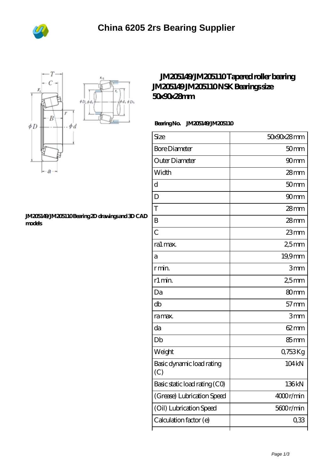



## **[JM205149/JM205110 Bearing 2D drawings and 3D CAD](https://m.bi-countytransitway.com/pic-821173.html) [models](https://m.bi-countytransitway.com/pic-821173.html)**

## **[JM205149/JM205110 Tapered roller bearing](https://m.bi-countytransitway.com/jm205110-bearing/nsk-jm205149-jm205110.html) [JM205149 JM205110 NSK Bearings size](https://m.bi-countytransitway.com/jm205110-bearing/nsk-jm205149-jm205110.html) [50x90x28mm](https://m.bi-countytransitway.com/jm205110-bearing/nsk-jm205149-jm205110.html)**

## **Bearing No. JM205149/JM205110**

| Size                             | 50x90x28mm       |
|----------------------------------|------------------|
| <b>Bore Diameter</b>             | 50 <sub>mm</sub> |
| Outer Diameter                   | 90mm             |
| Width                            | $28$ mm          |
| d                                | 50 <sub>mm</sub> |
| D                                | 90 <sub>mm</sub> |
| T                                | 28mm             |
| B                                | $28$ mm          |
| $\overline{C}$                   | 23mm             |
| ra1 max.                         | 25mm             |
| а                                | 19,9mm           |
| r min.                           | 3mm              |
| r1 min.                          | 25mm             |
| Da                               | 80 <sub>mm</sub> |
| db                               | $57$ mm          |
| ra max.                          | 3mm              |
| da                               | $62 \text{mm}$   |
| Db                               | 85 <sub>mm</sub> |
| Weight                           | 0,753Kg          |
| Basic dynamic load rating<br>(C) | 104 kN           |
| Basic static load rating (CO)    | 136kN            |
| (Grease) Lubrication Speed       | 4000r/min        |
| (Oil) Lubrication Speed          | 5600r/min        |
| Calculation factor (e)           | 0,33             |
|                                  |                  |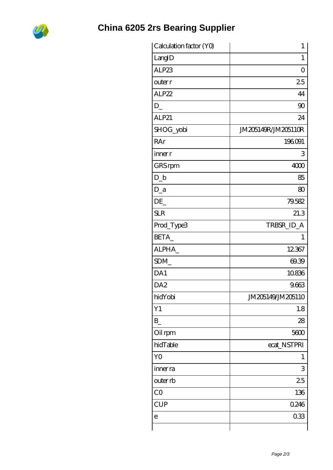

| Calculation factor (YO) | $\mathbf{1}$        |
|-------------------------|---------------------|
| LangID                  | 1                   |
| ALP23                   | $\overline{O}$      |
| outer r                 | 25                  |
| ALP22                   | 44                  |
| $D_{-}$                 | 90                  |
| ALP21                   | 24                  |
| SHOG_yobi               | JM205149R/JM205110R |
| RAr                     | 196091              |
| inner r                 | 3                   |
| GRS rpm                 | 4000                |
| $D_b$                   | 85                  |
| $D_a$                   | 80                  |
| DE                      | 79.582              |
| <b>SLR</b>              | 21.3                |
| Prod_Type3              | TRBSR_ID_A          |
| BETA_                   | 1                   |
| ALPHA                   | 12367               |
| SDM                     | 69.39               |
| DA1                     | 10836               |
| DA <sub>2</sub>         | 9.663               |
| hidYobi                 | JM205149/JM205110   |
| Y1                      | 1.8                 |
| B                       | 28                  |
| Oil rpm                 | 5600                |
| hidTable                | ecat_NSTPRI         |
| Y <sub>O</sub>          | 1                   |
| inner ra                | 3                   |
| outer rb                | 25                  |
| CO                      | 136                 |
| <b>CUP</b>              | 0.246               |
| е                       | 033                 |
|                         |                     |